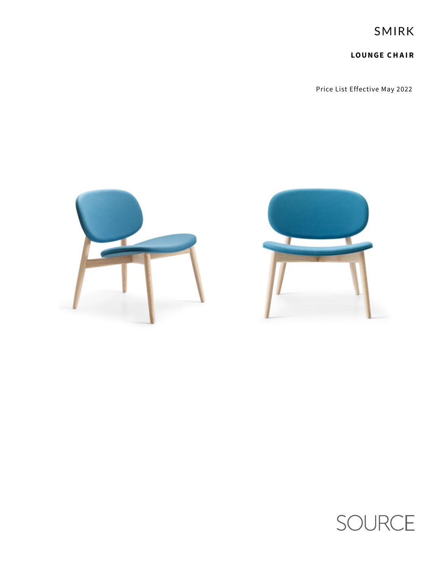SMIRK

**LOUNGE CHAIR**

Price List Effective May 2022





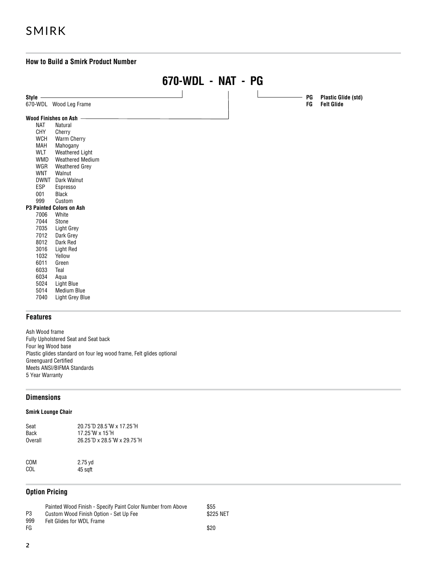# SMIRK

# **How to Build a Smirk Product Number**



# **Features**

Ash Wood frame Fully Upholstered Seat and Seat back Four leg Wood base Plastic glides standard on four leg wood frame, Felt glides optional Greenguard Certified Meets ANSI/BIFMA Standards 5 Year Warranty

# **Dimensions**

# **Smirk Lounge Chair**

| Seat<br>Back | 20.75 D 28.5 W x 17.25 H<br>17.25 W x 15 H |
|--------------|--------------------------------------------|
| Overall      | 26.25 D x 28.5 W x 29.75 H                 |
|              |                                            |

COM 2.75 yd<br>COL 45 soft 45 sqft

# **Option Pricing**

|                | Painted Wood Finish - Specify Paint Color Number from Above | \$55      |
|----------------|-------------------------------------------------------------|-----------|
| P <sub>3</sub> | Custom Wood Finish Option - Set Up Fee                      | \$225 NET |
| 999            | <b>Felt Glides for WDL Frame</b>                            |           |
| FG             |                                                             | \$20      |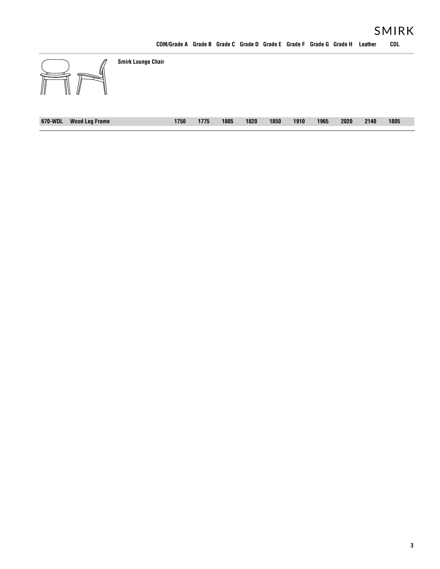| ∭<br>M<br>III<br>₩<br>W          | <b>Smirk Lounge Chair</b> |      |      |      |      |      |      |      |      |      |      |
|----------------------------------|---------------------------|------|------|------|------|------|------|------|------|------|------|
| 670-WDL<br><b>Wood Leg Frame</b> |                           | 1750 | 1775 | 1805 | 1820 | 1850 | 1910 | 1965 | 2020 | 2140 | 1805 |

**COM/Grade A Grade B Grade C Grade D Grade E Grade F Grade G Grade H Leather COL**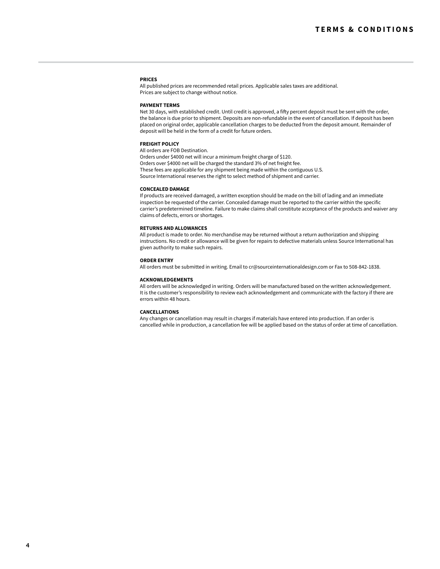#### **PRICES**

All published prices are recommended retail prices. Applicable sales taxes are additional. Prices are subject to change without notice.

#### **PAYMENT TERMS**

Net 30 days, with established credit. Until credit is approved, a fifty percent deposit must be sent with the order, the balance is due prior to shipment. Deposits are non-refundable in the event of cancellation. If deposit has been placed on original order, applicable cancellation charges to be deducted from the deposit amount. Remainder of deposit will be held in the form of a credit for future orders.

#### **FREIGHT POLICY**

All orders are FOB Destination.

Orders under \$4000 net will incur a minimum freight charge of \$120. Orders over \$4000 net will be charged the standard 3% of net freight fee. These fees are applicable for any shipment being made within the contiguous U.S. Source International reserves the right to select method of shipment and carrier.

## **CONCEALED DAMAGE**

If products are received damaged, a written exception should be made on the bill of lading and an immediate inspection be requested of the carrier. Concealed damage must be reported to the carrier within the specific carrier's predetermined timeline. Failure to make claims shall constitute acceptance of the products and waiver any claims of defects, errors or shortages.

## **RETURNS AND ALLOWANCES**

All product is made to order. No merchandise may be returned without a return authorization and shipping instructions. No credit or allowance will be given for repairs to defective materials unless Source International has given authority to make such repairs.

#### **ORDER ENTRY**

All orders must be submitted in writing. Email to cr@sourceinternationaldesign.com or Fax to 508-842-1838.

#### **ACKNOWLEDGEMENTS**

All orders will be acknowledged in writing. Orders will be manufactured based on the written acknowledgement. It is the customer's responsibility to review each acknowledgement and communicate with the factory if there are errors within 48 hours.

#### **CANCELLATIONS**

Any changes or cancellation may result in charges if materials have entered into production. If an order is cancelled while in production, a cancellation fee will be applied based on the status of order at time of cancellation.